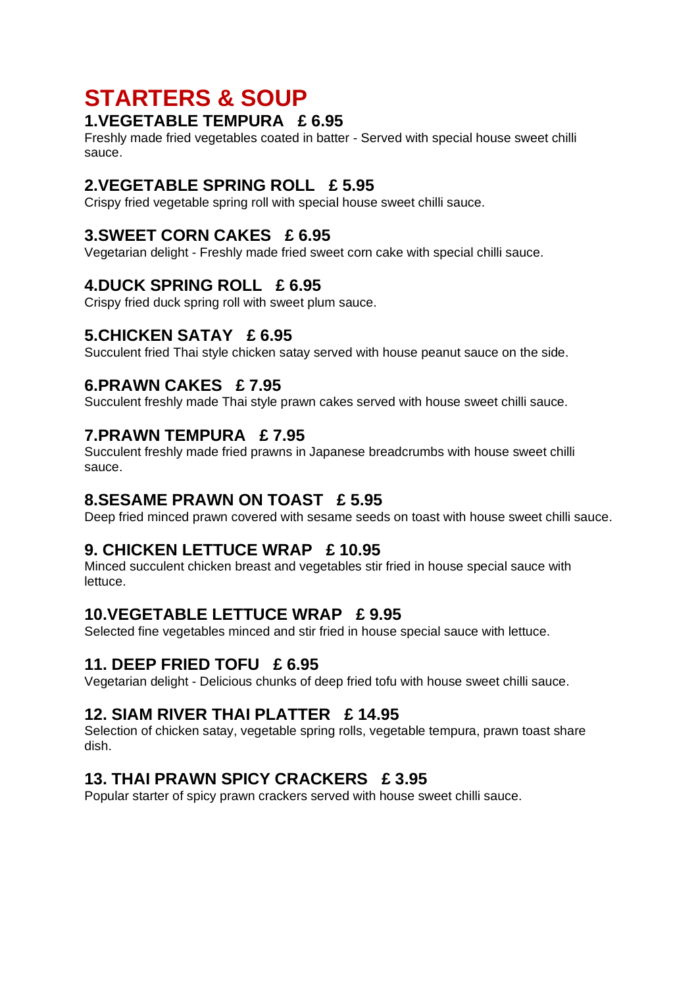# **STARTERS & SOUP**

### **1.VEGETABLE TEMPURA £ 6.95**

Freshly made fried vegetables coated in batter - Served with special house sweet chilli sauce.

### **2.VEGETABLE SPRING ROLL £ 5.95**

Crispy fried vegetable spring roll with special house sweet chilli sauce.

### **3.SWEET CORN CAKES £ 6.95**

Vegetarian delight - Freshly made fried sweet corn cake with special chilli sauce.

### **4.DUCK SPRING ROLL £ 6.95**

Crispy fried duck spring roll with sweet plum sauce.

### **5.CHICKEN SATAY £ 6.95**

Succulent fried Thai style chicken satay served with house peanut sauce on the side.

### **6.PRAWN CAKES £ 7.95**

Succulent freshly made Thai style prawn cakes served with house sweet chilli sauce.

### **7.PRAWN TEMPURA £ 7.95**

Succulent freshly made fried prawns in Japanese breadcrumbs with house sweet chilli sauce.

### **8.SESAME PRAWN ON TOAST £ 5.95**

Deep fried minced prawn covered with sesame seeds on toast with house sweet chilli sauce.

## **9. CHICKEN LETTUCE WRAP £ 10.95**

Minced succulent chicken breast and vegetables stir fried in house special sauce with lettuce.

### **10.VEGETABLE LETTUCE WRAP £ 9.95**

Selected fine vegetables minced and stir fried in house special sauce with lettuce.

## **11. DEEP FRIED TOFU £ 6.95**

Vegetarian delight - Delicious chunks of deep fried tofu with house sweet chilli sauce.

## **12. SIAM RIVER THAI PLATTER £ 14.95**

Selection of chicken satay, vegetable spring rolls, vegetable tempura, prawn toast share dish.

## **13. THAI PRAWN SPICY CRACKERS £ 3.95**

Popular starter of spicy prawn crackers served with house sweet chilli sauce.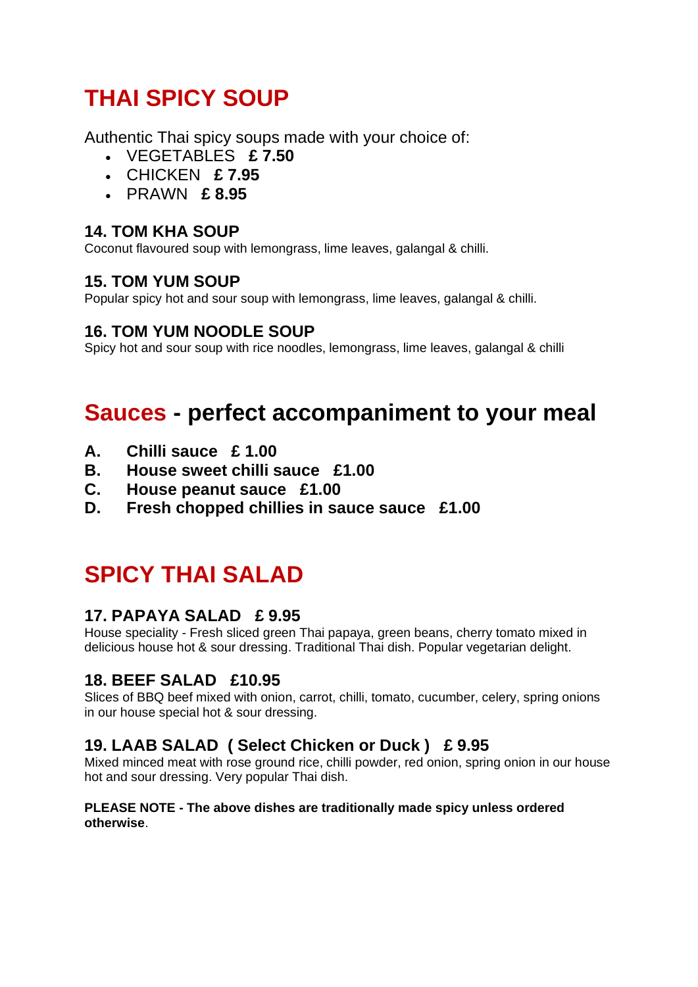# **THAI SPICY SOUP**

Authentic Thai spicy soups made with your choice of:

- VEGETABLES **£ 7.50**
- CHICKEN **£ 7.95**
- PRAWN **£ 8.95**

## **14. TOM KHA SOUP**

Coconut flavoured soup with lemongrass, lime leaves, galangal & chilli.

## **15. TOM YUM SOUP**

Popular spicy hot and sour soup with lemongrass, lime leaves, galangal & chilli.

## **16. TOM YUM NOODLE SOUP**

Spicy hot and sour soup with rice noodles, lemongrass, lime leaves, galangal & chilli

# **Sauces - perfect accompaniment to your meal**

- **A. Chilli sauce £ 1.00**
- **B. House sweet chilli sauce £1.00**
- **C. House peanut sauce £1.00**
- **D. Fresh chopped chillies in sauce sauce £1.00**

# **SPICY THAI SALAD**

## **17. PAPAYA SALAD £ 9.95**

House speciality - Fresh sliced green Thai papaya, green beans, cherry tomato mixed in delicious house hot & sour dressing. Traditional Thai dish. Popular vegetarian delight.

# **18. BEEF SALAD £10.95**

Slices of BBQ beef mixed with onion, carrot, chilli, tomato, cucumber, celery, spring onions in our house special hot & sour dressing.

# **19. LAAB SALAD ( Select Chicken or Duck ) £ 9.95**

Mixed minced meat with rose ground rice, chilli powder, red onion, spring onion in our house hot and sour dressing. Very popular Thai dish.

#### **PLEASE NOTE - The above dishes are traditionally made spicy unless ordered otherwise**.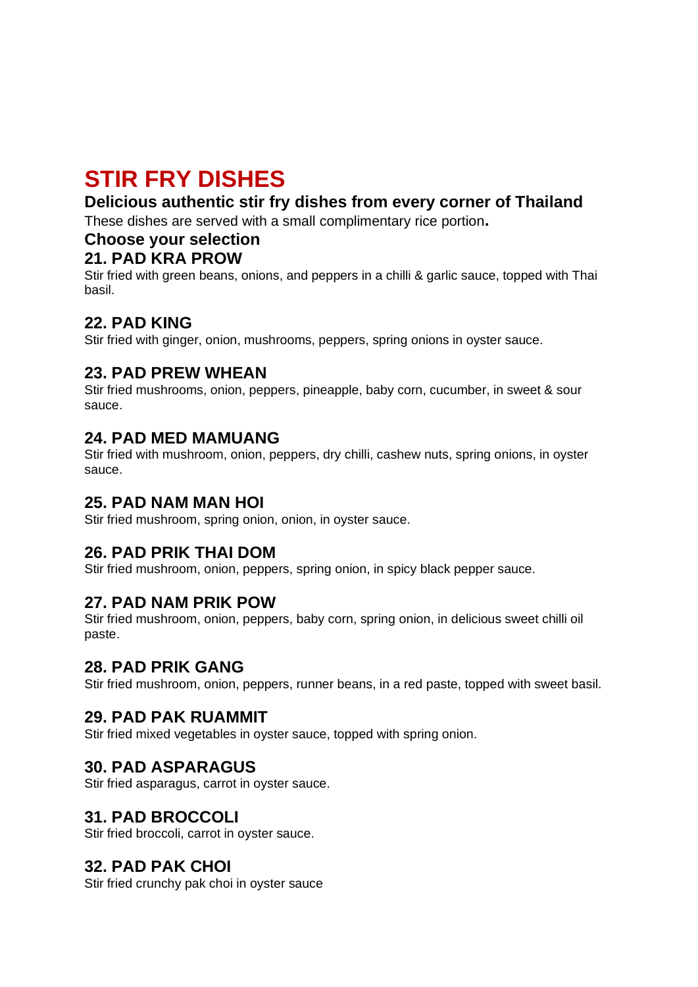# **STIR FRY DISHES**

## **Delicious authentic stir fry dishes from every corner of Thailand**

These dishes are served with a small complimentary rice portion**.**

### **Choose your selection**

### **21. PAD KRA PROW**

Stir fried with green beans, onions, and peppers in a chilli & garlic sauce, topped with Thai basil.

# **22. PAD KING**

Stir fried with ginger, onion, mushrooms, peppers, spring onions in oyster sauce.

### **23. PAD PREW WHEAN**

Stir fried mushrooms, onion, peppers, pineapple, baby corn, cucumber, in sweet & sour sauce.

### **24. PAD MED MAMUANG**

Stir fried with mushroom, onion, peppers, dry chilli, cashew nuts, spring onions, in oyster sauce.

### **25. PAD NAM MAN HOI**

Stir fried mushroom, spring onion, onion, in oyster sauce.

## **26. PAD PRIK THAI DOM**

Stir fried mushroom, onion, peppers, spring onion, in spicy black pepper sauce.

### **27. PAD NAM PRIK POW**

Stir fried mushroom, onion, peppers, baby corn, spring onion, in delicious sweet chilli oil paste.

### **28. PAD PRIK GANG**

Stir fried mushroom, onion, peppers, runner beans, in a red paste, topped with sweet basil.

### **29. PAD PAK RUAMMIT**

Stir fried mixed vegetables in oyster sauce, topped with spring onion.

## **30. PAD ASPARAGUS**

Stir fried asparagus, carrot in oyster sauce.

## **31. PAD BROCCOLI**

Stir fried broccoli, carrot in oyster sauce.

## **32. PAD PAK CHOI**

Stir fried crunchy pak choi in oyster sauce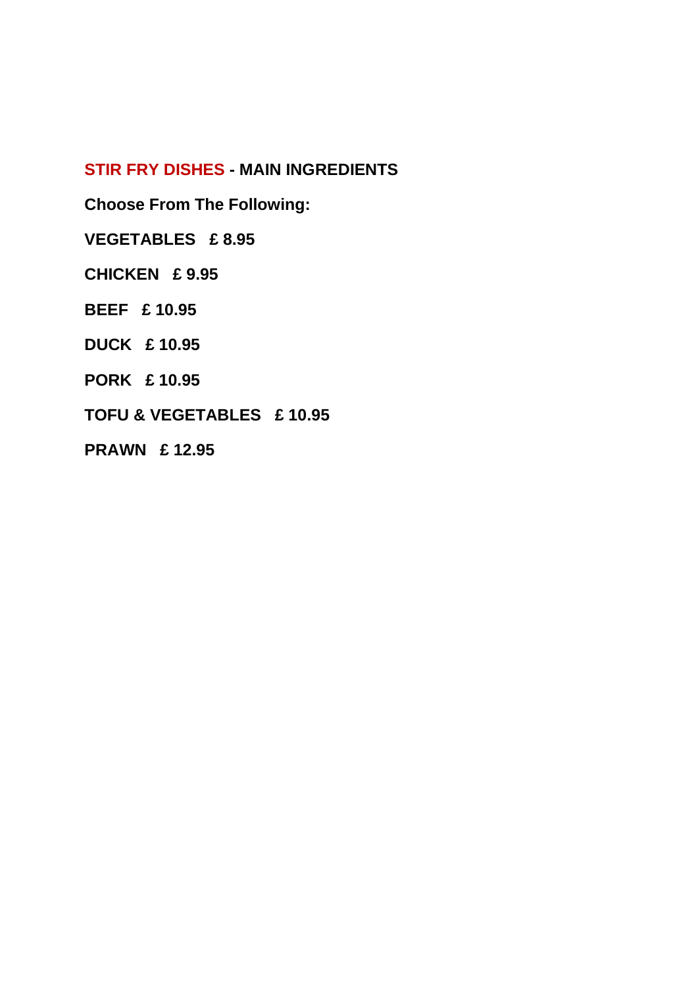### **STIR FRY DISHES - MAIN INGREDIENTS**

**Choose From The Following:**

**VEGETABLES £ 8.95**

**CHICKEN £ 9.95**

**BEEF £ 10.95**

**DUCK £ 10.95**

**PORK £ 10.95**

**TOFU & VEGETABLES £ 10.95**

**PRAWN £ 12.95**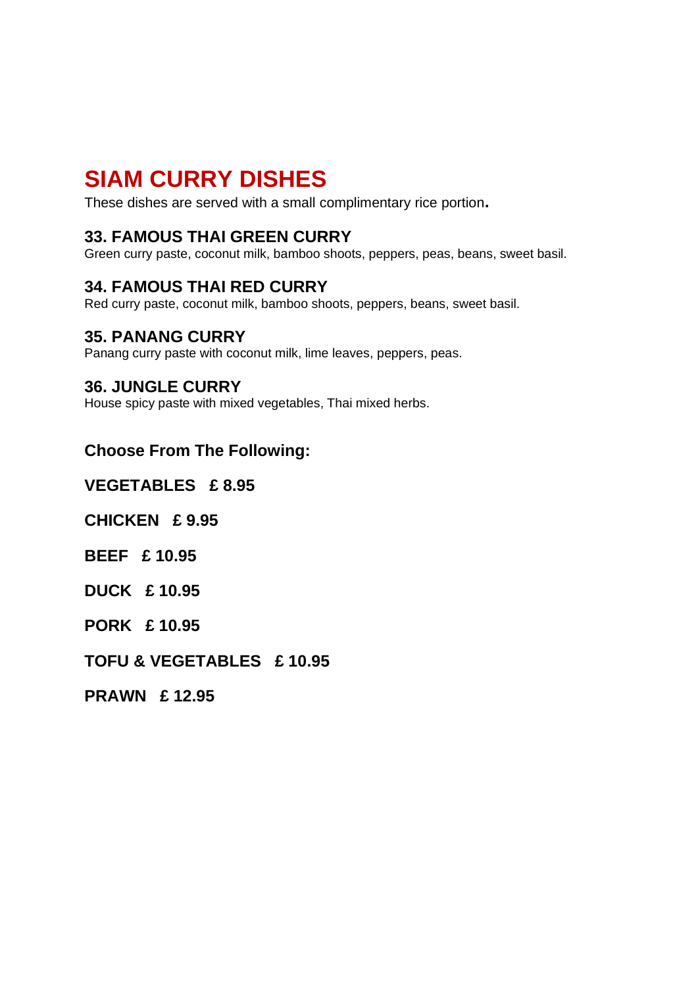# **SIAM CURRY DISHES**

These dishes are served with a small complimentary rice portion**.**

### **33. FAMOUS THAI GREEN CURRY**

Green curry paste, coconut milk, bamboo shoots, peppers, peas, beans, sweet basil.

### **34. FAMOUS THAI RED CURRY**

Red curry paste, coconut milk, bamboo shoots, peppers, beans, sweet basil.

### **35. PANANG CURRY**

Panang curry paste with coconut milk, lime leaves, peppers, peas.

#### **36. JUNGLE CURRY**

House spicy paste with mixed vegetables, Thai mixed herbs.

### **Choose From The Following:**

**VEGETABLES £ 8.95**

**CHICKEN £ 9.95**

**BEEF £ 10.95**

**DUCK £ 10.95**

**PORK £ 10.95**

**TOFU & VEGETABLES £ 10.95**

**PRAWN £ 12.95**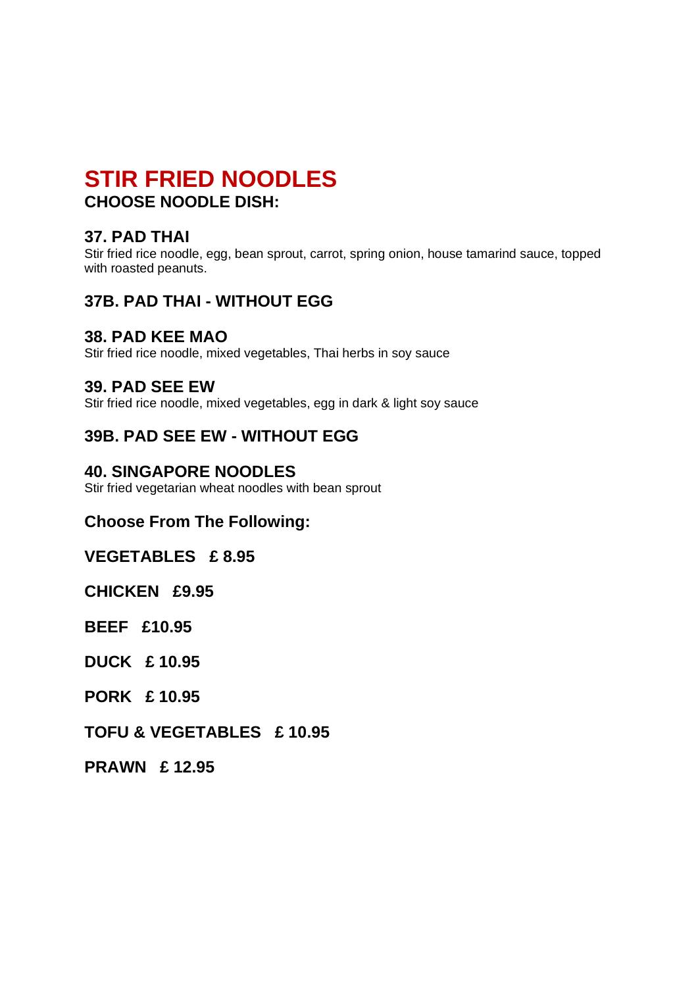# **STIR FRIED NOODLES CHOOSE NOODLE DISH:**

### **37. PAD THAI**

Stir fried rice noodle, egg, bean sprout, carrot, spring onion, house tamarind sauce, topped with roasted peanuts.

## **37B. PAD THAI - WITHOUT EGG**

#### **38. PAD KEE MAO**

Stir fried rice noodle, mixed vegetables, Thai herbs in soy sauce

#### **39. PAD SEE EW**

Stir fried rice noodle, mixed vegetables, egg in dark & light soy sauce

### **39B. PAD SEE EW - WITHOUT EGG**

### **40. SINGAPORE NOODLES**

Stir fried vegetarian wheat noodles with bean sprout

### **Choose From The Following:**

#### **VEGETABLES £ 8.95**

**CHICKEN £9.95**

**BEEF £10.95**

**DUCK £ 10.95**

**PORK £ 10.95**

#### **TOFU & VEGETABLES £ 10.95**

**PRAWN £ 12.95**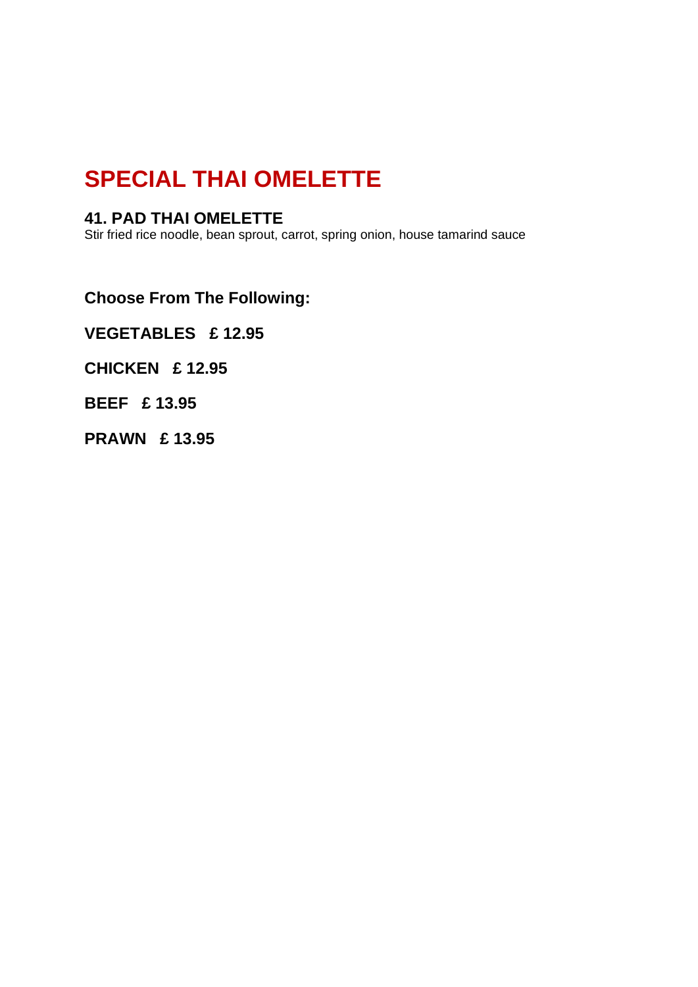# **SPECIAL THAI OMELETTE**

### **41. PAD THAI OMELETTE**

Stir fried rice noodle, bean sprout, carrot, spring onion, house tamarind sauce

**Choose From The Following:**

**VEGETABLES £ 12.95**

**CHICKEN £ 12.95**

**BEEF £ 13.95**

**PRAWN £ 13.95**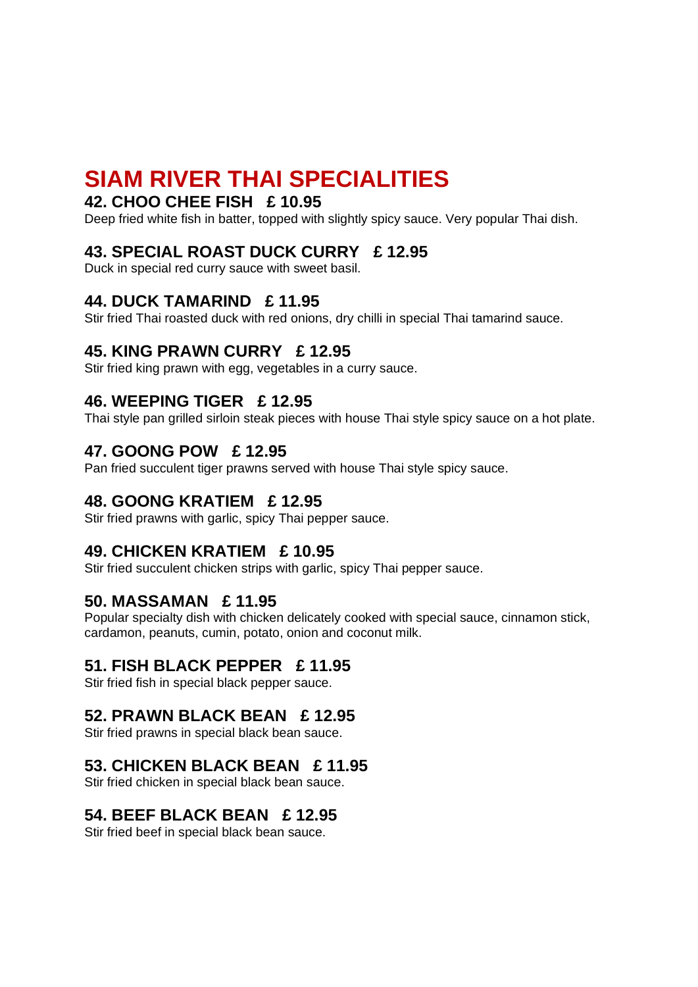# **SIAM RIVER THAI SPECIALITIES**

### **42. CHOO CHEE FISH £ 10.95**

Deep fried white fish in batter, topped with slightly spicy sauce. Very popular Thai dish.

### **43. SPECIAL ROAST DUCK CURRY £ 12.95**

Duck in special red curry sauce with sweet basil.

### **44. DUCK TAMARIND £ 11.95**

Stir fried Thai roasted duck with red onions, dry chilli in special Thai tamarind sauce.

### **45. KING PRAWN CURRY £ 12.95**

Stir fried king prawn with egg, vegetables in a curry sauce.

### **46. WEEPING TIGER £ 12.95**

Thai style pan grilled sirloin steak pieces with house Thai style spicy sauce on a hot plate.

### **47. GOONG POW £ 12.95**

Pan fried succulent tiger prawns served with house Thai style spicy sauce.

### **48. GOONG KRATIEM £ 12.95**

Stir fried prawns with garlic, spicy Thai pepper sauce.

#### **49. CHICKEN KRATIEM £ 10.95**

Stir fried succulent chicken strips with garlic, spicy Thai pepper sauce.

### **50. MASSAMAN £ 11.95**

Popular specialty dish with chicken delicately cooked with special sauce, cinnamon stick, cardamon, peanuts, cumin, potato, onion and coconut milk.

#### **51. FISH BLACK PEPPER £ 11.95**

Stir fried fish in special black pepper sauce.

### **52. PRAWN BLACK BEAN £ 12.95**

Stir fried prawns in special black bean sauce.

### **53. CHICKEN BLACK BEAN £ 11.95**

Stir fried chicken in special black bean sauce.

### **54. BEEF BLACK BEAN £ 12.95**

Stir fried beef in special black bean sauce.